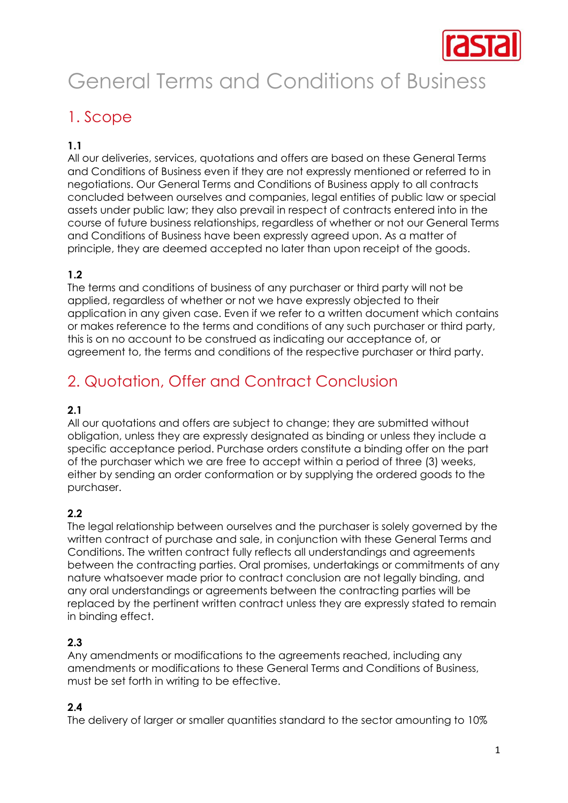

# General Terms and Conditions of Business

# 1. Scope

#### **1.1**

All our deliveries, services, quotations and offers are based on these General Terms and Conditions of Business even if they are not expressly mentioned or referred to in negotiations. Our General Terms and Conditions of Business apply to all contracts concluded between ourselves and companies, legal entities of public law or special assets under public law; they also prevail in respect of contracts entered into in the course of future business relationships, regardless of whether or not our General Terms and Conditions of Business have been expressly agreed upon. As a matter of principle, they are deemed accepted no later than upon receipt of the goods.

#### **1.2**

The terms and conditions of business of any purchaser or third party will not be applied, regardless of whether or not we have expressly objected to their application in any given case. Even if we refer to a written document which contains or makes reference to the terms and conditions of any such purchaser or third party, this is on no account to be construed as indicating our acceptance of, or agreement to, the terms and conditions of the respective purchaser or third party.

# 2. Quotation, Offer and Contract Conclusion

#### **2.1**

All our quotations and offers are subject to change; they are submitted without obligation, unless they are expressly designated as binding or unless they include a specific acceptance period. Purchase orders constitute a binding offer on the part of the purchaser which we are free to accept within a period of three (3) weeks, either by sending an order conformation or by supplying the ordered goods to the purchaser.

#### **2.2**

The legal relationship between ourselves and the purchaser is solely governed by the written contract of purchase and sale, in conjunction with these General Terms and Conditions. The written contract fully reflects all understandings and agreements between the contracting parties. Oral promises, undertakings or commitments of any nature whatsoever made prior to contract conclusion are not legally binding, and any oral understandings or agreements between the contracting parties will be replaced by the pertinent written contract unless they are expressly stated to remain in binding effect.

#### **2.3**

Any amendments or modifications to the agreements reached, including any amendments or modifications to these General Terms and Conditions of Business, must be set forth in writing to be effective.

#### **2.4**

The delivery of larger or smaller quantities standard to the sector amounting to 10%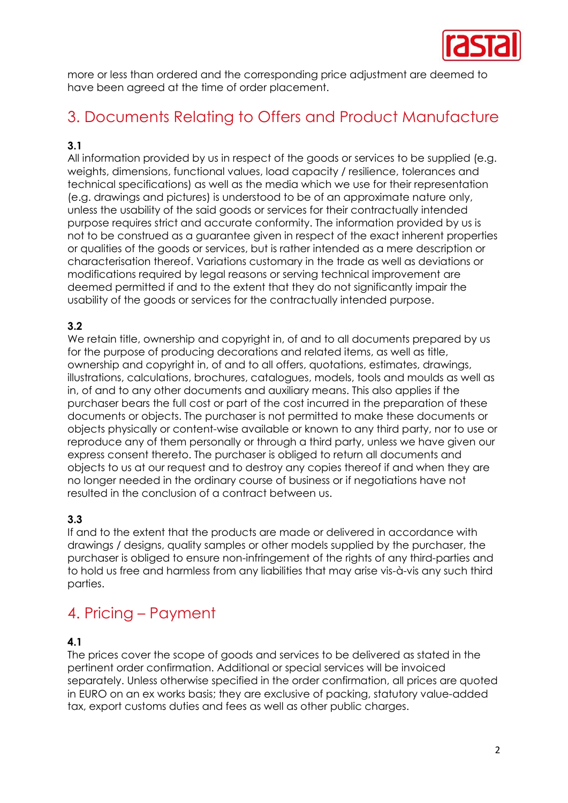

more or less than ordered and the corresponding price adjustment are deemed to have been agreed at the time of order placement.

# 3. Documents Relating to Offers and Product Manufacture

#### **3.1**

All information provided by us in respect of the goods or services to be supplied (e.g. weights, dimensions, functional values, load capacity / resilience, tolerances and technical specifications) as well as the media which we use for their representation (e.g. drawings and pictures) is understood to be of an approximate nature only, unless the usability of the said goods or services for their contractually intended purpose requires strict and accurate conformity. The information provided by us is not to be construed as a guarantee given in respect of the exact inherent properties or qualities of the goods or services, but is rather intended as a mere description or characterisation thereof. Variations customary in the trade as well as deviations or modifications required by legal reasons or serving technical improvement are deemed permitted if and to the extent that they do not significantly impair the usability of the goods or services for the contractually intended purpose.

#### **3.2**

We retain title, ownership and copyright in, of and to all documents prepared by us for the purpose of producing decorations and related items, as well as title, ownership and copyright in, of and to all offers, quotations, estimates, drawings, illustrations, calculations, brochures, catalogues, models, tools and moulds as well as in, of and to any other documents and auxiliary means. This also applies if the purchaser bears the full cost or part of the cost incurred in the preparation of these documents or objects. The purchaser is not permitted to make these documents or objects physically or content-wise available or known to any third party, nor to use or reproduce any of them personally or through a third party, unless we have given our express consent thereto. The purchaser is obliged to return all documents and objects to us at our request and to destroy any copies thereof if and when they are no longer needed in the ordinary course of business or if negotiations have not resulted in the conclusion of a contract between us.

#### **3.3**

If and to the extent that the products are made or delivered in accordance with drawings / designs, quality samples or other models supplied by the purchaser, the purchaser is obliged to ensure non-infringement of the rights of any third-parties and to hold us free and harmless from any liabilities that may arise vis-à-vis any such third parties.

### 4. Pricing – Payment

#### **4.1**

The prices cover the scope of goods and services to be delivered as stated in the pertinent order confirmation. Additional or special services will be invoiced separately. Unless otherwise specified in the order confirmation, all prices are quoted in EURO on an ex works basis; they are exclusive of packing, statutory value-added tax, export customs duties and fees as well as other public charges.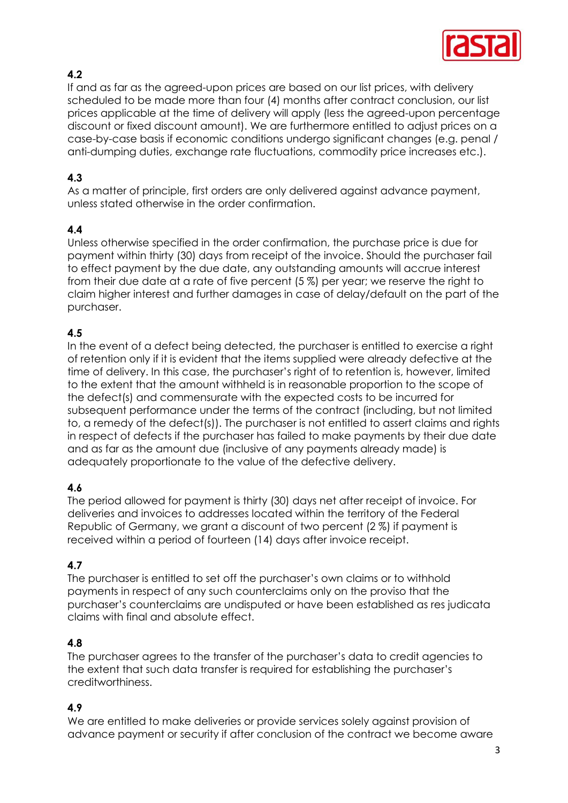

#### **4.2**

If and as far as the agreed-upon prices are based on our list prices, with delivery scheduled to be made more than four (4) months after contract conclusion, our list prices applicable at the time of delivery will apply (less the agreed-upon percentage discount or fixed discount amount). We are furthermore entitled to adjust prices on a case-by-case basis if economic conditions undergo significant changes (e.g. penal / anti-dumping duties, exchange rate fluctuations, commodity price increases etc.).

#### **4.3**

As a matter of principle, first orders are only delivered against advance payment, unless stated otherwise in the order confirmation.

#### **4.4**

Unless otherwise specified in the order confirmation, the purchase price is due for payment within thirty (30) days from receipt of the invoice. Should the purchaser fail to effect payment by the due date, any outstanding amounts will accrue interest from their due date at a rate of five percent (5 %) per year; we reserve the right to claim higher interest and further damages in case of delay/default on the part of the purchaser.

#### **4.5**

In the event of a defect being detected, the purchaser is entitled to exercise a right of retention only if it is evident that the items supplied were already defective at the time of delivery. In this case, the purchaser's right of to retention is, however, limited to the extent that the amount withheld is in reasonable proportion to the scope of the defect(s) and commensurate with the expected costs to be incurred for subsequent performance under the terms of the contract (including, but not limited to, a remedy of the defect(s)). The purchaser is not entitled to assert claims and rights in respect of defects if the purchaser has failed to make payments by their due date and as far as the amount due (inclusive of any payments already made) is adequately proportionate to the value of the defective delivery.

#### **4.6**

The period allowed for payment is thirty (30) days net after receipt of invoice. For deliveries and invoices to addresses located within the territory of the Federal Republic of Germany, we grant a discount of two percent (2 %) if payment is received within a period of fourteen (14) days after invoice receipt.

#### **4.7**

The purchaser is entitled to set off the purchaser's own claims or to withhold payments in respect of any such counterclaims only on the proviso that the purchaser's counterclaims are undisputed or have been established as res judicata claims with final and absolute effect.

#### **4.8**

The purchaser agrees to the transfer of the purchaser's data to credit agencies to the extent that such data transfer is required for establishing the purchaser's creditworthiness.

#### **4.9**

We are entitled to make deliveries or provide services solely against provision of advance payment or security if after conclusion of the contract we become aware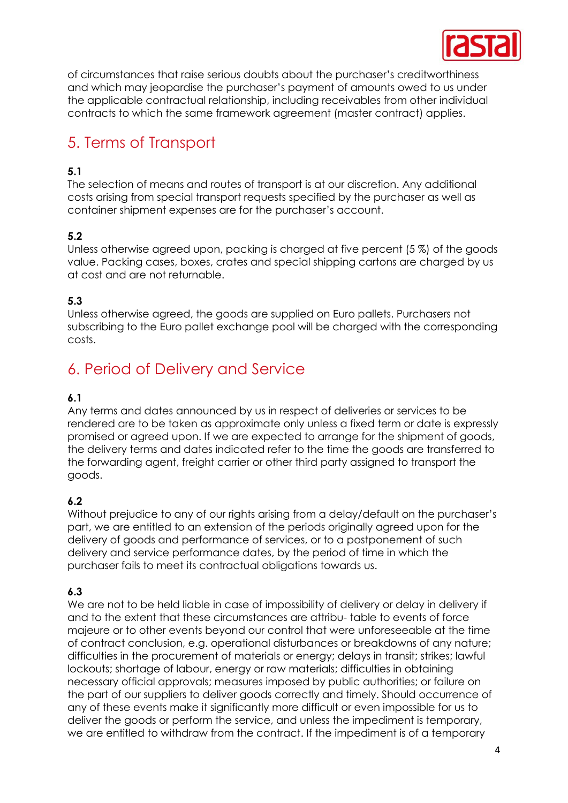

of circumstances that raise serious doubts about the purchaser's creditworthiness and which may jeopardise the purchaser's payment of amounts owed to us under the applicable contractual relationship, including receivables from other individual contracts to which the same framework agreement (master contract) applies.

# 5. Terms of Transport

#### **5.1**

The selection of means and routes of transport is at our discretion. Any additional costs arising from special transport requests specified by the purchaser as well as container shipment expenses are for the purchaser's account.

#### **5.2**

Unless otherwise agreed upon, packing is charged at five percent (5 %) of the goods value. Packing cases, boxes, crates and special shipping cartons are charged by us at cost and are not returnable.

#### **5.3**

Unless otherwise agreed, the goods are supplied on Euro pallets. Purchasers not subscribing to the Euro pallet exchange pool will be charged with the corresponding costs.

# 6. Period of Delivery and Service

#### **6.1**

Any terms and dates announced by us in respect of deliveries or services to be rendered are to be taken as approximate only unless a fixed term or date is expressly promised or agreed upon. If we are expected to arrange for the shipment of goods, the delivery terms and dates indicated refer to the time the goods are transferred to the forwarding agent, freight carrier or other third party assigned to transport the goods.

#### **6.2**

Without prejudice to any of our rights arising from a delay/default on the purchaser's part, we are entitled to an extension of the periods originally agreed upon for the delivery of goods and performance of services, or to a postponement of such delivery and service performance dates, by the period of time in which the purchaser fails to meet its contractual obligations towards us.

#### **6.3**

We are not to be held liable in case of impossibility of delivery or delay in delivery if and to the extent that these circumstances are attribu- table to events of force majeure or to other events beyond our control that were unforeseeable at the time of contract conclusion, e.g. operational disturbances or breakdowns of any nature; difficulties in the procurement of materials or energy; delays in transit; strikes; lawful lockouts; shortage of labour, energy or raw materials; difficulties in obtaining necessary official approvals; measures imposed by public authorities; or failure on the part of our suppliers to deliver goods correctly and timely. Should occurrence of any of these events make it significantly more difficult or even impossible for us to deliver the goods or perform the service, and unless the impediment is temporary, we are entitled to withdraw from the contract. If the impediment is of a temporary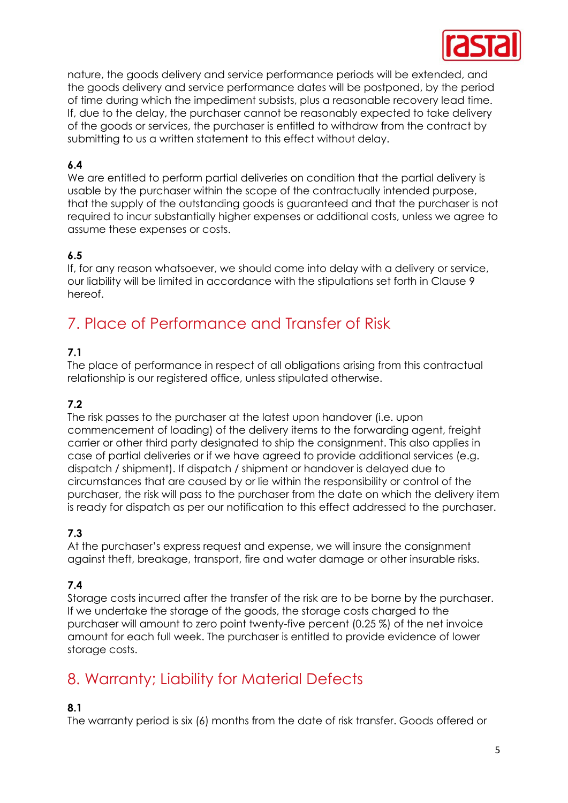

nature, the goods delivery and service performance periods will be extended, and the goods delivery and service performance dates will be postponed, by the period of time during which the impediment subsists, plus a reasonable recovery lead time. If, due to the delay, the purchaser cannot be reasonably expected to take delivery of the goods or services, the purchaser is entitled to withdraw from the contract by submitting to us a written statement to this effect without delay.

#### **6.4**

We are entitled to perform partial deliveries on condition that the partial delivery is usable by the purchaser within the scope of the contractually intended purpose, that the supply of the outstanding goods is guaranteed and that the purchaser is not required to incur substantially higher expenses or additional costs, unless we agree to assume these expenses or costs.

#### **6.5**

If, for any reason whatsoever, we should come into delay with a delivery or service, our liability will be limited in accordance with the stipulations set forth in Clause 9 hereof.

# 7. Place of Performance and Transfer of Risk

#### **7.1**

The place of performance in respect of all obligations arising from this contractual relationship is our registered office, unless stipulated otherwise.

#### **7.2**

The risk passes to the purchaser at the latest upon handover (i.e. upon commencement of loading) of the delivery items to the forwarding agent, freight carrier or other third party designated to ship the consignment. This also applies in case of partial deliveries or if we have agreed to provide additional services (e.g. dispatch / shipment). If dispatch / shipment or handover is delayed due to circumstances that are caused by or lie within the responsibility or control of the purchaser, the risk will pass to the purchaser from the date on which the delivery item is ready for dispatch as per our notification to this effect addressed to the purchaser.

#### **7.3**

At the purchaser's express request and expense, we will insure the consignment against theft, breakage, transport, fire and water damage or other insurable risks.

#### **7.4**

Storage costs incurred after the transfer of the risk are to be borne by the purchaser. If we undertake the storage of the goods, the storage costs charged to the purchaser will amount to zero point twenty-five percent (0.25 %) of the net invoice amount for each full week. The purchaser is entitled to provide evidence of lower storage costs.

### 8. Warranty; Liability for Material Defects

#### **8.1**

The warranty period is six (6) months from the date of risk transfer. Goods offered or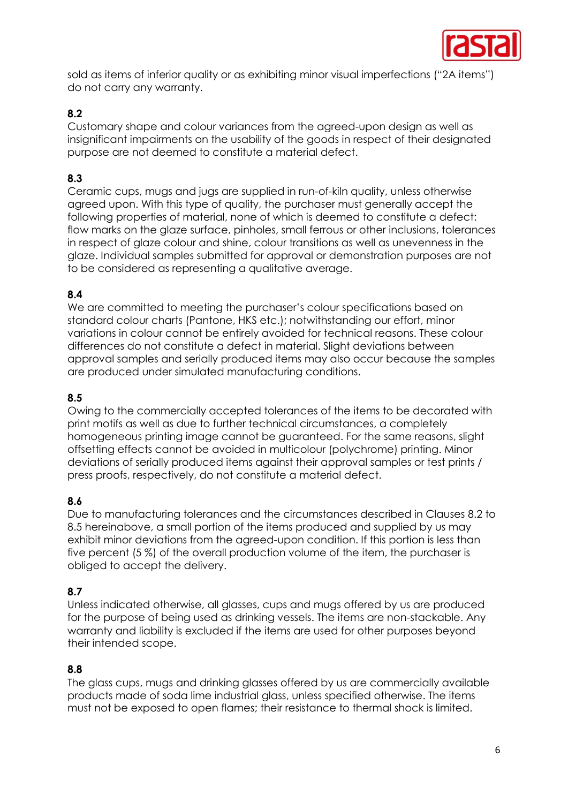

sold as items of inferior quality or as exhibiting minor visual imperfections ("2A items") do not carry any warranty.

#### **8.2**

Customary shape and colour variances from the agreed-upon design as well as insignificant impairments on the usability of the goods in respect of their designated purpose are not deemed to constitute a material defect.

#### **8.3**

Ceramic cups, mugs and jugs are supplied in run-of-kiln quality, unless otherwise agreed upon. With this type of quality, the purchaser must generally accept the following properties of material, none of which is deemed to constitute a defect: flow marks on the glaze surface, pinholes, small ferrous or other inclusions, tolerances in respect of glaze colour and shine, colour transitions as well as unevenness in the glaze. Individual samples submitted for approval or demonstration purposes are not to be considered as representing a qualitative average.

#### **8.4**

We are committed to meeting the purchaser's colour specifications based on standard colour charts (Pantone, HKS etc.); notwithstanding our effort, minor variations in colour cannot be entirely avoided for technical reasons. These colour differences do not constitute a defect in material. Slight deviations between approval samples and serially produced items may also occur because the samples are produced under simulated manufacturing conditions.

#### **8.5**

Owing to the commercially accepted tolerances of the items to be decorated with print motifs as well as due to further technical circumstances, a completely homogeneous printing image cannot be guaranteed. For the same reasons, slight offsetting effects cannot be avoided in multicolour (polychrome) printing. Minor deviations of serially produced items against their approval samples or test prints / press proofs, respectively, do not constitute a material defect.

#### **8.6**

Due to manufacturing tolerances and the circumstances described in Clauses 8.2 to 8.5 hereinabove, a small portion of the items produced and supplied by us may exhibit minor deviations from the agreed-upon condition. If this portion is less than five percent (5 %) of the overall production volume of the item, the purchaser is obliged to accept the delivery.

#### **8.7**

Unless indicated otherwise, all glasses, cups and mugs offered by us are produced for the purpose of being used as drinking vessels. The items are non-stackable. Any warranty and liability is excluded if the items are used for other purposes beyond their intended scope.

#### **8.8**

The glass cups, mugs and drinking glasses offered by us are commercially available products made of soda lime industrial glass, unless specified otherwise. The items must not be exposed to open flames; their resistance to thermal shock is limited.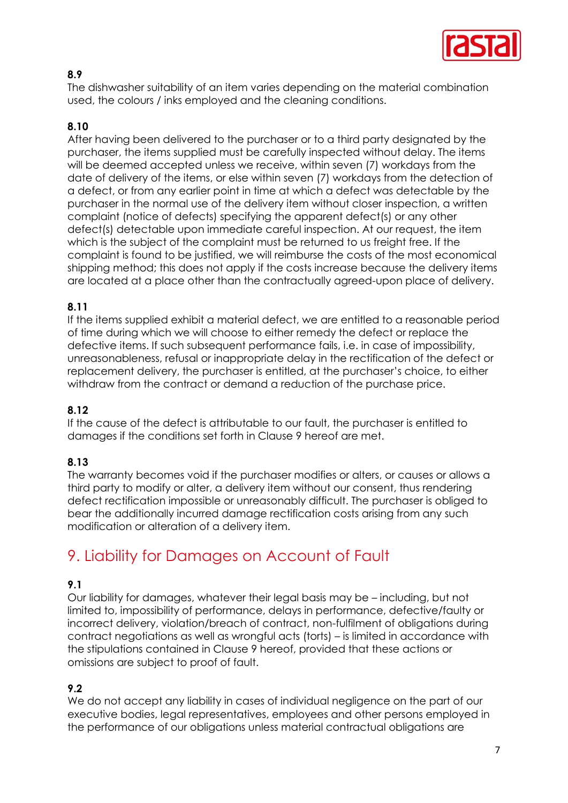

#### **8.9**

The dishwasher suitability of an item varies depending on the material combination used, the colours / inks employed and the cleaning conditions.

#### **8.10**

After having been delivered to the purchaser or to a third party designated by the purchaser, the items supplied must be carefully inspected without delay. The items will be deemed accepted unless we receive, within seven (7) workdays from the date of delivery of the items, or else within seven (7) workdays from the detection of a defect, or from any earlier point in time at which a defect was detectable by the purchaser in the normal use of the delivery item without closer inspection, a written complaint (notice of defects) specifying the apparent defect(s) or any other defect(s) detectable upon immediate careful inspection. At our request, the item which is the subject of the complaint must be returned to us freight free. If the complaint is found to be justified, we will reimburse the costs of the most economical shipping method; this does not apply if the costs increase because the delivery items are located at a place other than the contractually agreed-upon place of delivery.

#### **8.11**

If the items supplied exhibit a material defect, we are entitled to a reasonable period of time during which we will choose to either remedy the defect or replace the defective items. If such subsequent performance fails, i.e. in case of impossibility, unreasonableness, refusal or inappropriate delay in the rectification of the defect or replacement delivery, the purchaser is entitled, at the purchaser's choice, to either withdraw from the contract or demand a reduction of the purchase price.

#### **8.12**

If the cause of the defect is attributable to our fault, the purchaser is entitled to damages if the conditions set forth in Clause 9 hereof are met.

#### **8.13**

The warranty becomes void if the purchaser modifies or alters, or causes or allows a third party to modify or alter, a delivery item without our consent, thus rendering defect rectification impossible or unreasonably difficult. The purchaser is obliged to bear the additionally incurred damage rectification costs arising from any such modification or alteration of a delivery item.

### 9. Liability for Damages on Account of Fault

#### **9.1**

Our liability for damages, whatever their legal basis may be – including, but not limited to, impossibility of performance, delays in performance, defective/faulty or incorrect delivery, violation/breach of contract, non-fulfilment of obligations during contract negotiations as well as wrongful acts (torts) – is limited in accordance with the stipulations contained in Clause 9 hereof, provided that these actions or omissions are subject to proof of fault.

#### **9.2**

We do not accept any liability in cases of individual negligence on the part of our executive bodies, legal representatives, employees and other persons employed in the performance of our obligations unless material contractual obligations are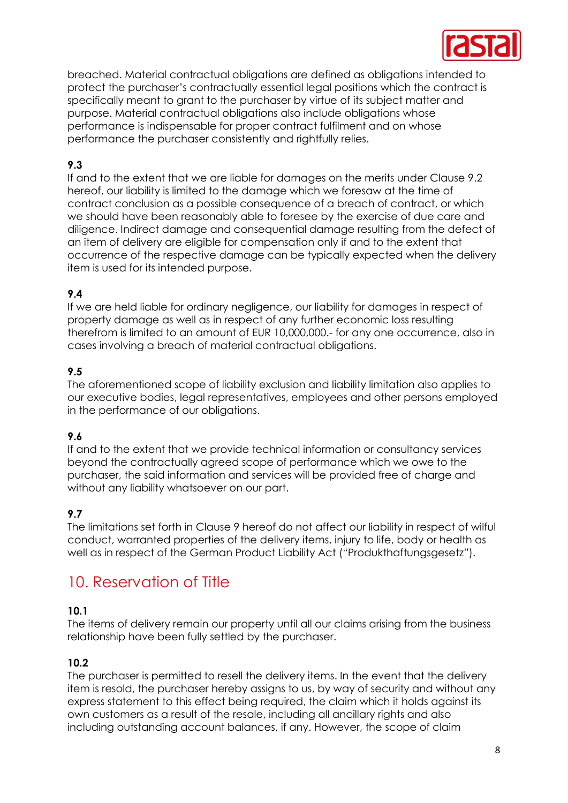

breached. Material contractual obligations are defined as obligations intended to protect the purchaser's contractually essential legal positions which the contract is specifically meant to grant to the purchaser by virtue of its subject matter and purpose. Material contractual obligations also include obligations whose performance is indispensable for proper contract fulfilment and on whose performance the purchaser consistently and rightfully relies.

#### **9.3**

If and to the extent that we are liable for damages on the merits under Clause 9.2 hereof, our liability is limited to the damage which we foresaw at the time of contract conclusion as a possible consequence of a breach of contract, or which we should have been reasonably able to foresee by the exercise of due care and diligence. Indirect damage and consequential damage resulting from the defect of an item of delivery are eligible for compensation only if and to the extent that occurrence of the respective damage can be typically expected when the delivery item is used for its intended purpose.

#### **9.4**

If we are held liable for ordinary negligence, our liability for damages in respect of property damage as well as in respect of any further economic loss resulting therefrom is limited to an amount of EUR 10,000,000.- for any one occurrence, also in cases involving a breach of material contractual obligations.

#### **9.5**

The aforementioned scope of liability exclusion and liability limitation also applies to our executive bodies, legal representatives, employees and other persons employed in the performance of our obligations.

#### **9.6**

If and to the extent that we provide technical information or consultancy services beyond the contractually agreed scope of performance which we owe to the purchaser, the said information and services will be provided free of charge and without any liability whatsoever on our part.

#### **9.7**

The limitations set forth in Clause 9 hereof do not affect our liability in respect of wilful conduct, warranted properties of the delivery items, injury to life, body or health as well as in respect of the German Product Liability Act ("Produkthaftungsgesetz").

### 10. Reservation of Title

#### **10.1**

The items of delivery remain our property until all our claims arising from the business relationship have been fully settled by the purchaser.

#### **10.2**

The purchaser is permitted to resell the delivery items. In the event that the delivery item is resold, the purchaser hereby assigns to us, by way of security and without any express statement to this effect being required, the claim which it holds against its own customers as a result of the resale, including all ancillary rights and also including outstanding account balances, if any. However, the scope of claim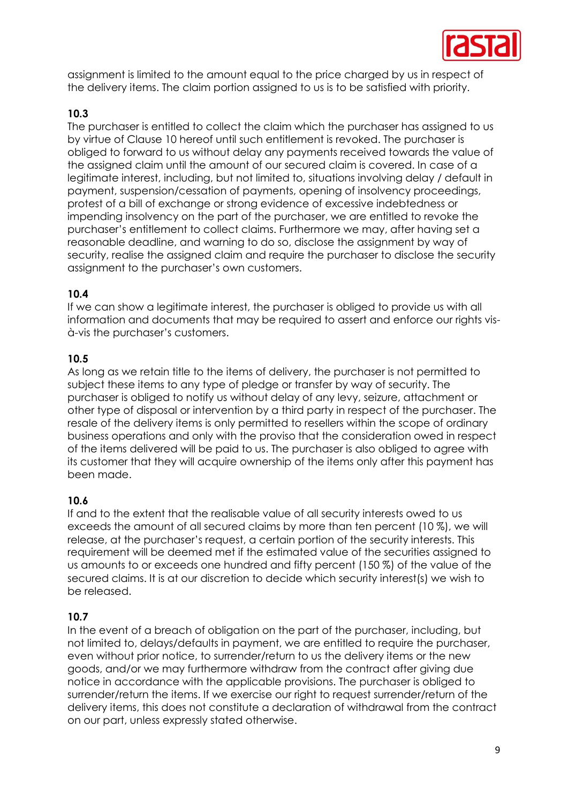

assignment is limited to the amount equal to the price charged by us in respect of the delivery items. The claim portion assigned to us is to be satisfied with priority.

#### **10.3**

The purchaser is entitled to collect the claim which the purchaser has assigned to us by virtue of Clause 10 hereof until such entitlement is revoked. The purchaser is obliged to forward to us without delay any payments received towards the value of the assigned claim until the amount of our secured claim is covered. In case of a legitimate interest, including, but not limited to, situations involving delay / default in payment, suspension/cessation of payments, opening of insolvency proceedings, protest of a bill of exchange or strong evidence of excessive indebtedness or impending insolvency on the part of the purchaser, we are entitled to revoke the purchaser's entitlement to collect claims. Furthermore we may, after having set a reasonable deadline, and warning to do so, disclose the assignment by way of security, realise the assigned claim and require the purchaser to disclose the security assignment to the purchaser's own customers.

#### **10.4**

If we can show a legitimate interest, the purchaser is obliged to provide us with all information and documents that may be required to assert and enforce our rights visà-vis the purchaser's customers.

#### **10.5**

As long as we retain title to the items of delivery, the purchaser is not permitted to subject these items to any type of pledge or transfer by way of security. The purchaser is obliged to notify us without delay of any levy, seizure, attachment or other type of disposal or intervention by a third party in respect of the purchaser. The resale of the delivery items is only permitted to resellers within the scope of ordinary business operations and only with the proviso that the consideration owed in respect of the items delivered will be paid to us. The purchaser is also obliged to agree with its customer that they will acquire ownership of the items only after this payment has been made.

#### **10.6**

If and to the extent that the realisable value of all security interests owed to us exceeds the amount of all secured claims by more than ten percent (10 %), we will release, at the purchaser's request, a certain portion of the security interests. This requirement will be deemed met if the estimated value of the securities assigned to us amounts to or exceeds one hundred and fifty percent (150 %) of the value of the secured claims. It is at our discretion to decide which security interest(s) we wish to be released.

#### **10.7**

In the event of a breach of obligation on the part of the purchaser, including, but not limited to, delays/defaults in payment, we are entitled to require the purchaser, even without prior notice, to surrender/return to us the delivery items or the new goods, and/or we may furthermore withdraw from the contract after giving due notice in accordance with the applicable provisions. The purchaser is obliged to surrender/return the items. If we exercise our right to request surrender/return of the delivery items, this does not constitute a declaration of withdrawal from the contract on our part, unless expressly stated otherwise.